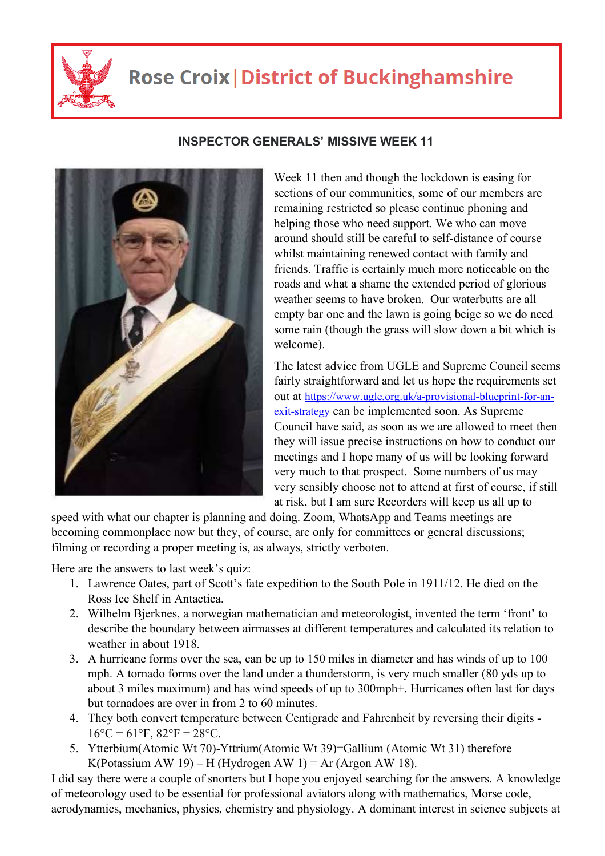

## **Rose Croix | District of Buckinghamshire**



## **INSPECTOR GENERALS' MISSIVE WEEK 11**

Week 11 then and though the lockdown is easing for sections of our communities, some of our members are remaining restricted so please continue phoning and helping those who need support. We who can move around should still be careful to self-distance of course whilst maintaining renewed contact with family and friends. Traffic is certainly much more noticeable on the roads and what a shame the extended period of glorious weather seems to have broken. Our waterbutts are all empty bar one and the lawn is going beige so we do need some rain (though the grass will slow down a bit which is welcome).

The latest advice from UGLE and Supreme Council seems fairly straightforward and let us hope the requirements set out at https://www.ugle.org.uk/a-provisional-blueprint-for-anexit-strategy can be implemented soon. As Supreme Council have said, as soon as we are allowed to meet then they will issue precise instructions on how to conduct our meetings and I hope many of us will be looking forward very much to that prospect. Some numbers of us may very sensibly choose not to attend at first of course, if still at risk, but I am sure Recorders will keep us all up to

speed with what our chapter is planning and doing. Zoom, WhatsApp and Teams meetings are becoming commonplace now but they, of course, are only for committees or general discussions; filming or recording a proper meeting is, as always, strictly verboten.

Here are the answers to last week's quiz:

- 1. Lawrence Oates, part of Scott's fate expedition to the South Pole in 1911/12. He died on the Ross Ice Shelf in Antactica.
- 2. Wilhelm Bjerknes, a norwegian mathematician and meteorologist, invented the term 'front' to describe the boundary between airmasses at different temperatures and calculated its relation to weather in about 1918.
- 3. A hurricane forms over the sea, can be up to 150 miles in diameter and has winds of up to 100 mph. A tornado forms over the land under a thunderstorm, is very much smaller (80 yds up to about 3 miles maximum) and has wind speeds of up to 300mph+. Hurricanes often last for days but tornadoes are over in from 2 to 60 minutes.
- 4. They both convert temperature between Centigrade and Fahrenheit by reversing their digits  $16^{\circ}C = 61^{\circ}F$ ,  $82^{\circ}F = 28^{\circ}C$ .
- 5. Ytterbium(Atomic Wt 70)-Yttrium(Atomic Wt 39)=Gallium (Atomic Wt 31) therefore K(Potassium AW 19) – H (Hydrogen AW 1) = Ar (Argon AW 18).

I did say there were a couple of snorters but I hope you enjoyed searching for the answers. A knowledge of meteorology used to be essential for professional aviators along with mathematics, Morse code, aerodynamics, mechanics, physics, chemistry and physiology. A dominant interest in science subjects at